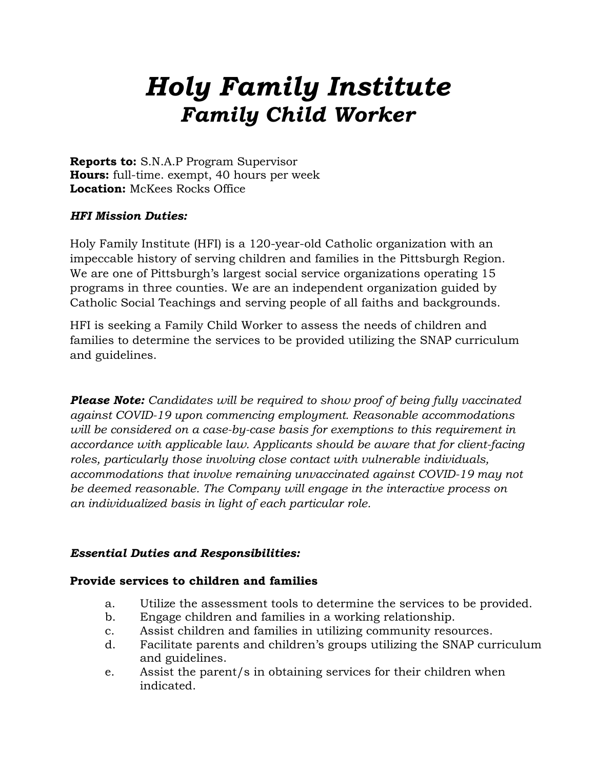# *Holy Family Institute Family Child Worker*

**Reports to:** S.N.A.P Program Supervisor **Hours:** full-time. exempt, 40 hours per week **Location:** McKees Rocks Office

# *HFI Mission Duties:*

Holy Family Institute (HFI) is a 120-year-old Catholic organization with an impeccable history of serving children and families in the Pittsburgh Region. We are one of Pittsburgh's largest social service organizations operating 15 programs in three counties. We are an independent organization guided by Catholic Social Teachings and serving people of all faiths and backgrounds.

HFI is seeking a Family Child Worker to assess the needs of children and families to determine the services to be provided utilizing the SNAP curriculum and guidelines.

*Please Note: Candidates will be required to show proof of being fully vaccinated against COVID-19 upon commencing employment. Reasonable accommodations will be considered on a case-by-case basis for exemptions to this requirement in accordance with applicable law. Applicants should be aware that for client-facing roles, particularly those involving close contact with vulnerable individuals, accommodations that involve remaining unvaccinated against COVID-19 may not be deemed reasonable. The Company will engage in the interactive process on an individualized basis in light of each particular role.*

#### *Essential Duties and Responsibilities:*

#### **Provide services to children and families**

- a. Utilize the assessment tools to determine the services to be provided.
- b. Engage children and families in a working relationship.
- c. Assist children and families in utilizing community resources.
- d. Facilitate parents and children's groups utilizing the SNAP curriculum and guidelines.
- e. Assist the parent/s in obtaining services for their children when indicated.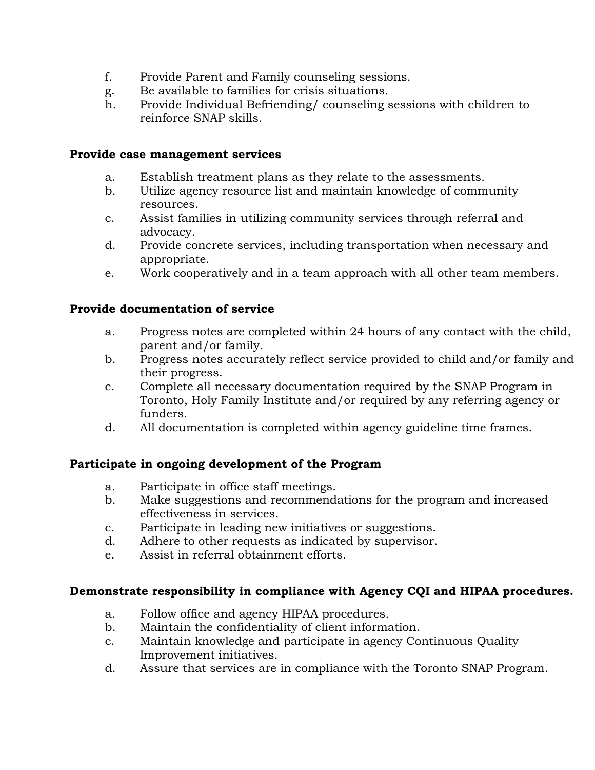- f. Provide Parent and Family counseling sessions.
- g. Be available to families for crisis situations.
- h. Provide Individual Befriending/ counseling sessions with children to reinforce SNAP skills.

#### **Provide case management services**

- a. Establish treatment plans as they relate to the assessments.
- b. Utilize agency resource list and maintain knowledge of community resources.
- c. Assist families in utilizing community services through referral and advocacy.
- d. Provide concrete services, including transportation when necessary and appropriate.
- e. Work cooperatively and in a team approach with all other team members.

#### **Provide documentation of service**

- a. Progress notes are completed within 24 hours of any contact with the child, parent and/or family.
- b. Progress notes accurately reflect service provided to child and/or family and their progress.
- c. Complete all necessary documentation required by the SNAP Program in Toronto, Holy Family Institute and/or required by any referring agency or funders.
- d. All documentation is completed within agency guideline time frames.

#### **Participate in ongoing development of the Program**

- a. Participate in office staff meetings.
- b. Make suggestions and recommendations for the program and increased effectiveness in services.
- c. Participate in leading new initiatives or suggestions.
- d. Adhere to other requests as indicated by supervisor.
- e. Assist in referral obtainment efforts.

#### **Demonstrate responsibility in compliance with Agency CQI and HIPAA procedures.**

- a. Follow office and agency HIPAA procedures.
- b. Maintain the confidentiality of client information.
- c. Maintain knowledge and participate in agency Continuous Quality Improvement initiatives.
- d. Assure that services are in compliance with the Toronto SNAP Program.